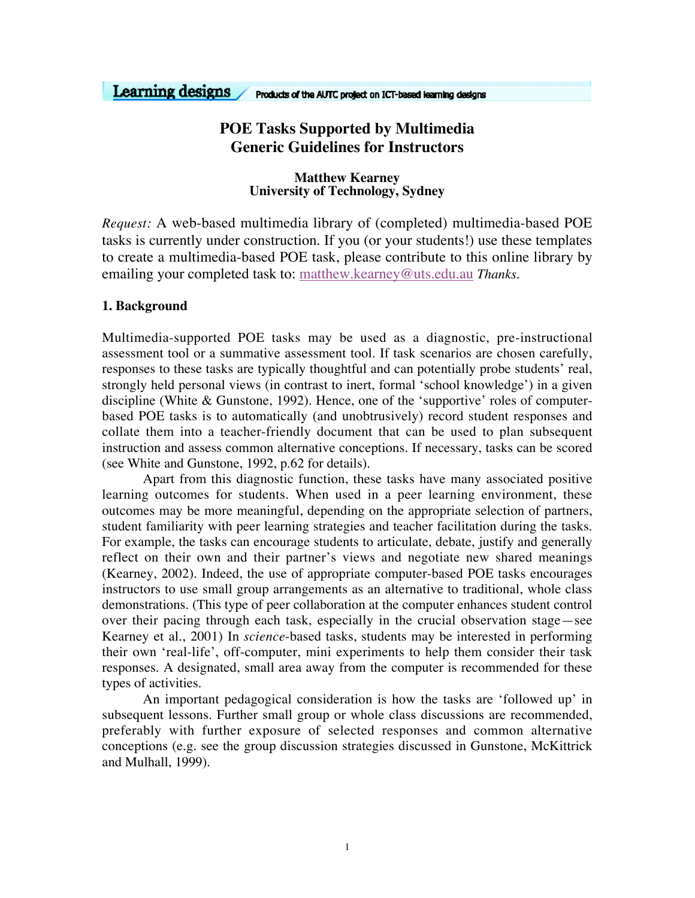#### Learning designs Products of the AUTC project on ICT-based learning designs

# **POE Tasks Supported by Multimedia Generic Guidelines for Instructors**

# **Matthew Kearney University of Technology, Sydney**

*Request:* A web-based multimedia library of (completed) multimedia-based POE tasks is currently under construction. If you (or your students!) use these templates to create a multimedia-based POE task, please contribute to this online library by emailing your completed task to: matthew.kearney@uts.edu.au *Thanks.*

# **1. Background**

Multimedia-supported POE tasks may be used as a diagnostic, pre-instructional assessment tool or a summative assessment tool. If task scenarios are chosen carefully, responses to these tasks are typically thoughtful and can potentially probe students' real, strongly held personal views (in contrast to inert, formal 'school knowledge') in a given discipline (White & Gunstone, 1992). Hence, one of the 'supportive' roles of computerbased POE tasks is to automatically (and unobtrusively) record student responses and collate them into a teacher-friendly document that can be used to plan subsequent instruction and assess common alternative conceptions. If necessary, tasks can be scored (see White and Gunstone, 1992, p.62 for details).

Apart from this diagnostic function, these tasks have many associated positive learning outcomes for students. When used in a peer learning environment, these outcomes may be more meaningful, depending on the appropriate selection of partners, student familiarity with peer learning strategies and teacher facilitation during the tasks. For example, the tasks can encourage students to articulate, debate, justify and generally reflect on their own and their partner's views and negotiate new shared meanings (Kearney, 2002). Indeed, the use of appropriate computer-based POE tasks encourages instructors to use small group arrangements as an alternative to traditional, whole class demonstrations. (This type of peer collaboration at the computer enhances student control over their pacing through each task, especially in the crucial observation stage—see Kearney et al., 2001) In *science*-based tasks, students may be interested in performing their own 'real-life', off-computer, mini experiments to help them consider their task responses. A designated, small area away from the computer is recommended for these types of activities.

An important pedagogical consideration is how the tasks are 'followed up' in subsequent lessons. Further small group or whole class discussions are recommended, preferably with further exposure of selected responses and common alternative conceptions (e.g. see the group discussion strategies discussed in Gunstone, McKittrick and Mulhall, 1999).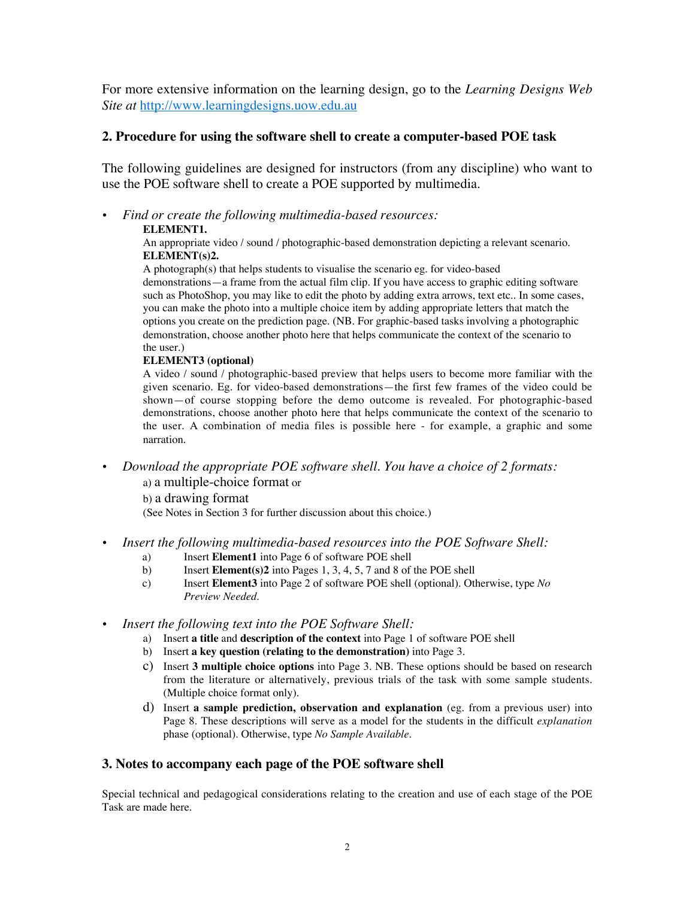For more extensive information on the learning design, go to the *Learning Designs Web Site at* http://www.learningdesigns.uow.edu.au

# **2. Procedure for using the software shell to create a computer-based POE task**

The following guidelines are designed for instructors (from any discipline) who want to use the POE software shell to create a POE supported by multimedia.

# *Find or create the following multimedia-based resources:*

# **ELEMENT1.**

An appropriate video / sound / photographic-based demonstration depicting a relevant scenario. **ELEMENT(s)2.**

A photograph(s) that helps students to visualise the scenario eg. for video-based demonstrations—a frame from the actual film clip. If you have access to graphic editing software such as PhotoShop, you may like to edit the photo by adding extra arrows, text etc.. In some cases, you can make the photo into a multiple choice item by adding appropriate letters that match the options you create on the prediction page. (NB. For graphic-based tasks involving a photographic demonstration, choose another photo here that helps communicate the context of the scenario to the user.)

#### **ELEMENT3 (optional)**

A video / sound / photographic-based preview that helps users to become more familiar with the given scenario. Eg. for video-based demonstrations—the first few frames of the video could be shown—of course stopping before the demo outcome is revealed. For photographic-based demonstrations, choose another photo here that helps communicate the context of the scenario to the user. A combination of media files is possible here - for example, a graphic and some narration.

# *Download the appropriate POE software shell. You have a choice of 2 formats:*

#### a) a multiple-choice format or

b) a drawing format

(See Notes in Section 3 for further discussion about this choice.)

# *Insert the following multimedia-based resources into the POE Software Shell:*

- a) Insert **Element1** into Page 6 of software POE shell
- b) Insert **Element(s)2** into Pages 1, 3, 4, 5, 7 and 8 of the POE shell
- c) Insert **Element3** into Page 2 of software POE shell (optional). Otherwise, type *No Preview Needed*.

#### *Insert the following text into the POE Software Shell:*

- a) Insert **a title** and **description of the context** into Page 1 of software POE shell
- b) Insert **a key question (relating to the demonstration)** into Page 3.
- c) Insert **3 multiple choice options** into Page 3. NB. These options should be based on research from the literature or alternatively, previous trials of the task with some sample students. (Multiple choice format only).
- d) Insert **a sample prediction, observation and explanation** (eg. from a previous user) into Page 8. These descriptions will serve as a model for the students in the difficult *explanation* phase (optional). Otherwise, type *No Sample Available*.

# **3. Notes to accompany each page of the POE software shell**

Special technical and pedagogical considerations relating to the creation and use of each stage of the POE Task are made here.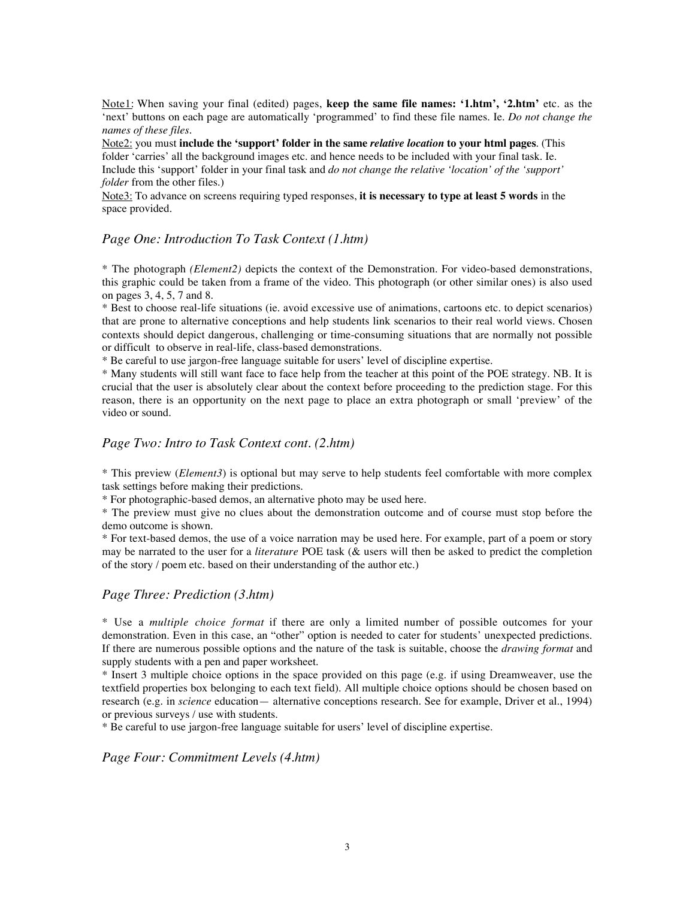Note1: When saving your final (edited) pages, **keep the same file names: '1.htm', '2.htm'** etc. as the 'next' buttons on each page are automatically 'programmed' to find these file names. Ie. *Do not change the names of these files.*

Note2: you must **include the 'support' folder in the same** *relative location* **to your html pages**. (This folder 'carries' all the background images etc. and hence needs to be included with your final task. Ie. Include this 'support' folder in your final task and *do not change the relative 'location' of the 'support' folder* from the other files.)

Note3: To advance on screens requiring typed responses, **it is necessary to type at least 5 words** in the space provided.

#### *Page One: Introduction To Task Context (1.htm)*

\* The photograph *(Element2)* depicts the context of the Demonstration. For video-based demonstrations, this graphic could be taken from a frame of the video. This photograph (or other similar ones) is also used on pages 3, 4, 5, 7 and 8.

\* Best to choose real-life situations (ie. avoid excessive use of animations, cartoons etc. to depict scenarios) that are prone to alternative conceptions and help students link scenarios to their real world views. Chosen contexts should depict dangerous, challenging or time-consuming situations that are normally not possible or difficult to observe in real-life, class-based demonstrations.

\* Be careful to use jargon-free language suitable for users' level of discipline expertise.

\* Many students will still want face to face help from the teacher at this point of the POE strategy. NB. It is crucial that the user is absolutely clear about the context before proceeding to the prediction stage. For this reason, there is an opportunity on the next page to place an extra photograph or small 'preview' of the video or sound.

#### *Page Two: Intro to Task Context cont. (2.htm)*

\* This preview (*Element3*) is optional but may serve to help students feel comfortable with more complex task settings before making their predictions.

\* For photographic-based demos, an alternative photo may be used here.

\* The preview must give no clues about the demonstration outcome and of course must stop before the demo outcome is shown.

\* For text-based demos, the use of a voice narration may be used here. For example, part of a poem or story may be narrated to the user for a *literature* POE task (& users will then be asked to predict the completion of the story / poem etc. based on their understanding of the author etc.)

# *Page Three: Prediction (3.htm)*

\* Use a *multiple choice format* if there are only a limited number of possible outcomes for your demonstration. Even in this case, an "other" option is needed to cater for students' unexpected predictions. If there are numerous possible options and the nature of the task is suitable, choose the *drawing format* and supply students with a pen and paper worksheet.

\* Insert 3 multiple choice options in the space provided on this page (e.g. if using Dreamweaver, use the textfield properties box belonging to each text field). All multiple choice options should be chosen based on research (e.g. in *science* education— alternative conceptions research. See for example, Driver et al., 1994) or previous surveys / use with students.

\* Be careful to use jargon-free language suitable for users' level of discipline expertise.

*Page Four: Commitment Levels (4.htm)*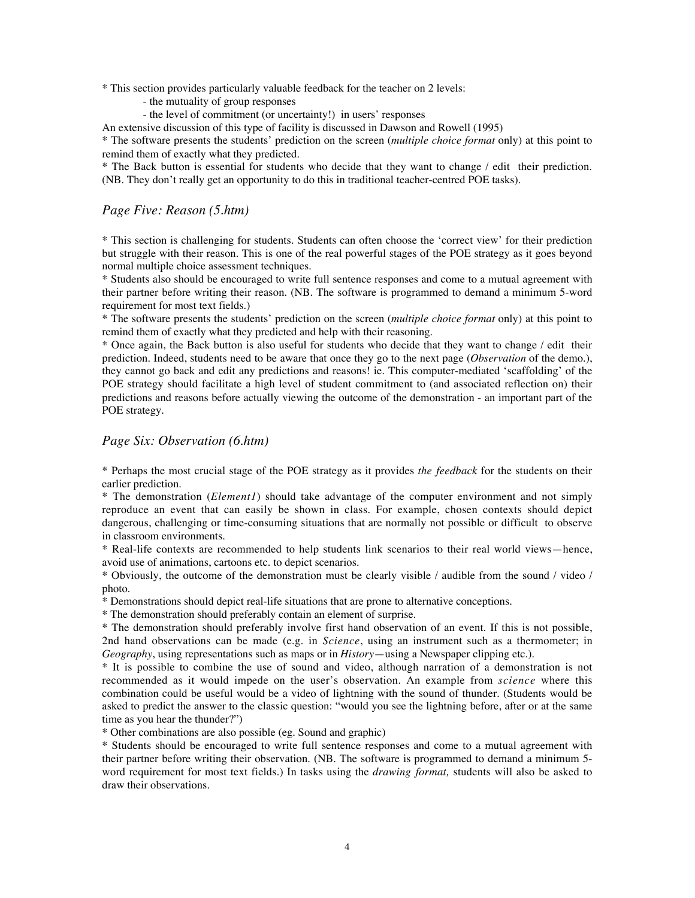\* This section provides particularly valuable feedback for the teacher on 2 levels:

- the mutuality of group responses
- the level of commitment (or uncertainty!) in users' responses

An extensive discussion of this type of facility is discussed in Dawson and Rowell (1995)

\* The software presents the students' prediction on the screen (*multiple choice format* only) at this point to remind them of exactly what they predicted.

\* The Back button is essential for students who decide that they want to change / edit their prediction. (NB. They don't really get an opportunity to do this in traditional teacher-centred POE tasks).

#### *Page Five: Reason (5.htm)*

\* This section is challenging for students. Students can often choose the 'correct view' for their prediction but struggle with their reason. This is one of the real powerful stages of the POE strategy as it goes beyond normal multiple choice assessment techniques.

\* Students also should be encouraged to write full sentence responses and come to a mutual agreement with their partner before writing their reason. (NB. The software is programmed to demand a minimum 5-word requirement for most text fields.)

\* The software presents the students' prediction on the screen (*multiple choice format* only) at this point to remind them of exactly what they predicted and help with their reasoning.

\* Once again, the Back button is also useful for students who decide that they want to change / edit their prediction. Indeed, students need to be aware that once they go to the next page (*Observation* of the demo.), they cannot go back and edit any predictions and reasons! ie. This computer-mediated 'scaffolding' of the POE strategy should facilitate a high level of student commitment to (and associated reflection on) their predictions and reasons before actually viewing the outcome of the demonstration - an important part of the POE strategy.

#### *Page Six: Observation (6.htm)*

\* Perhaps the most crucial stage of the POE strategy as it provides *the feedback* for the students on their earlier prediction.

\* The demonstration (*Element1*) should take advantage of the computer environment and not simply reproduce an event that can easily be shown in class. For example, chosen contexts should depict dangerous, challenging or time-consuming situations that are normally not possible or difficult to observe in classroom environments.

\* Real-life contexts are recommended to help students link scenarios to their real world views—hence, avoid use of animations, cartoons etc. to depict scenarios.

\* Obviously, the outcome of the demonstration must be clearly visible / audible from the sound / video / photo.

\* Demonstrations should depict real-life situations that are prone to alternative conceptions.

\* The demonstration should preferably contain an element of surprise.

\* The demonstration should preferably involve first hand observation of an event. If this is not possible, 2nd hand observations can be made (e.g. in *Science*, using an instrument such as a thermometer; in *Geography*, using representations such as maps or in *History*—using a Newspaper clipping etc.).

\* It is possible to combine the use of sound and video, although narration of a demonstration is not recommended as it would impede on the user's observation. An example from *science* where this combination could be useful would be a video of lightning with the sound of thunder. (Students would be asked to predict the answer to the classic question: "would you see the lightning before, after or at the same time as you hear the thunder?")

\* Other combinations are also possible (eg. Sound and graphic)

\* Students should be encouraged to write full sentence responses and come to a mutual agreement with their partner before writing their observation. (NB. The software is programmed to demand a minimum 5 word requirement for most text fields.) In tasks using the *drawing format,* students will also be asked to draw their observations.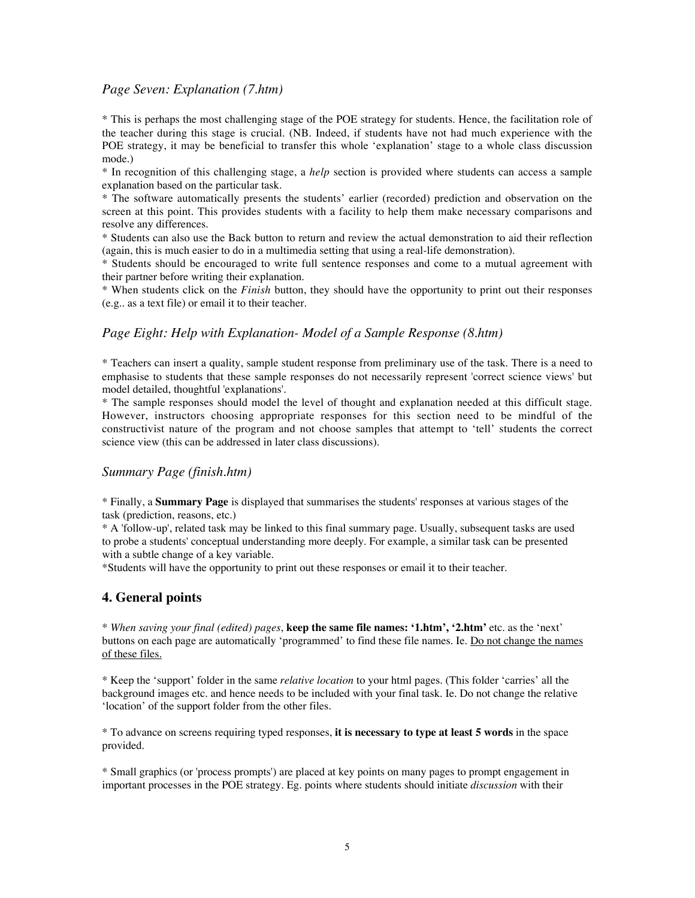### *Page Seven: Explanation (7.htm)*

\* This is perhaps the most challenging stage of the POE strategy for students. Hence, the facilitation role of the teacher during this stage is crucial. (NB. Indeed, if students have not had much experience with the POE strategy, it may be beneficial to transfer this whole 'explanation' stage to a whole class discussion mode.)

\* In recognition of this challenging stage, a *help* section is provided where students can access a sample explanation based on the particular task.

\* The software automatically presents the students' earlier (recorded) prediction and observation on the screen at this point. This provides students with a facility to help them make necessary comparisons and resolve any differences.

\* Students can also use the Back button to return and review the actual demonstration to aid their reflection (again, this is much easier to do in a multimedia setting that using a real-life demonstration).

\* Students should be encouraged to write full sentence responses and come to a mutual agreement with their partner before writing their explanation.

\* When students click on the *Finish* button, they should have the opportunity to print out their responses (e.g.. as a text file) or email it to their teacher.

#### *Page Eight: Help with Explanation- Model of a Sample Response (8.htm)*

\* Teachers can insert a quality, sample student response from preliminary use of the task. There is a need to emphasise to students that these sample responses do not necessarily represent 'correct science views' but model detailed, thoughtful 'explanations'.

\* The sample responses should model the level of thought and explanation needed at this difficult stage. However, instructors choosing appropriate responses for this section need to be mindful of the constructivist nature of the program and not choose samples that attempt to 'tell' students the correct science view (this can be addressed in later class discussions).

#### *Summary Page (finish.htm)*

\* Finally, a **Summary Page** is displayed that summarises the students' responses at various stages of the task (prediction, reasons, etc.)

\* A 'follow-up', related task may be linked to this final summary page. Usually, subsequent tasks are used to probe a students' conceptual understanding more deeply. For example, a similar task can be presented with a subtle change of a key variable.

\*Students will have the opportunity to print out these responses or email it to their teacher.

#### **4. General points**

\* *When saving your final (edited) pages*, **keep the same file names: '1.htm', '2.htm'** etc. as the 'next' buttons on each page are automatically 'programmed' to find these file names. Ie. Do not change the names of these files.

\* Keep the 'support' folder in the same *relative location* to your html pages. (This folder 'carries' all the background images etc. and hence needs to be included with your final task. Ie. Do not change the relative 'location' of the support folder from the other files.

\* To advance on screens requiring typed responses, **it is necessary to type at least 5 words** in the space provided.

\* Small graphics (or 'process prompts') are placed at key points on many pages to prompt engagement in important processes in the POE strategy. Eg. points where students should initiate *discussion* with their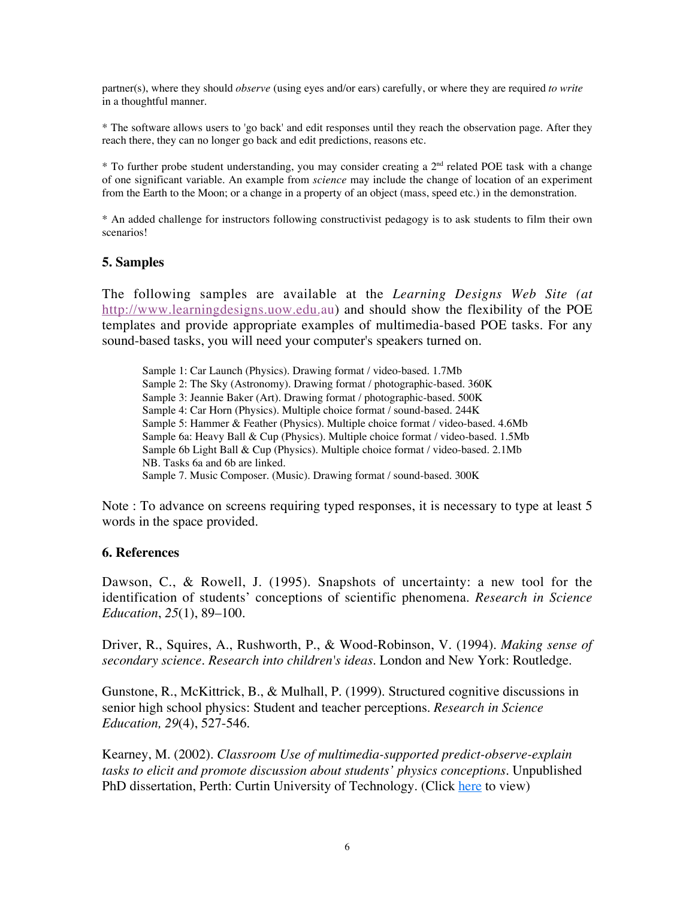partner(s), where they should *observe* (using eyes and/or ears) carefully, or where they are required *to write* in a thoughtful manner.

\* The software allows users to 'go back' and edit responses until they reach the observation page. After they reach there, they can no longer go back and edit predictions, reasons etc.

 $*$  To further probe student understanding, you may consider creating a  $2<sup>nd</sup>$  related POE task with a change of one significant variable. An example from *science* may include the change of location of an experiment from the Earth to the Moon; or a change in a property of an object (mass, speed etc.) in the demonstration.

\* An added challenge for instructors following constructivist pedagogy is to ask students to film their own scenarios!

# **5. Samples**

The following samples are available at the *Learning Designs Web Site (at* http://www.learningdesigns.uow.edu.au) and should show the flexibility of the POE templates and provide appropriate examples of multimedia-based POE tasks. For any sound-based tasks, you will need your computer's speakers turned on.

Sample 1: Car Launch (Physics). Drawing format / video-based. 1.7Mb Sample 2: The Sky (Astronomy). Drawing format / photographic-based. 360K Sample 3: Jeannie Baker (Art). Drawing format / photographic-based. 500K Sample 4: Car Horn (Physics). Multiple choice format / sound-based. 244K Sample 5: Hammer & Feather (Physics). Multiple choice format / video-based. 4.6Mb Sample 6a: Heavy Ball & Cup (Physics). Multiple choice format / video-based. 1.5Mb Sample 6b Light Ball & Cup (Physics). Multiple choice format / video-based. 2.1Mb NB. Tasks 6a and 6b are linked. Sample 7. Music Composer. (Music). Drawing format / sound-based. 300K

Note : To advance on screens requiring typed responses, it is necessary to type at least 5 words in the space provided.

# **6. References**

Dawson, C., & Rowell, J. (1995). Snapshots of uncertainty: a new tool for the identification of students' conceptions of scientific phenomena. *Research in Science Education*, *25*(1), 89–100.

Driver, R., Squires, A., Rushworth, P., & Wood-Robinson, V. (1994). *Making sense of secondary science. Research into children's ideas.* London and New York: Routledge.

Gunstone, R., McKittrick, B., & Mulhall, P. (1999). Structured cognitive discussions in senior high school physics: Student and teacher perceptions. *Research in Science Education, 29*(4), 527-546.

Kearney, M. (2002). *Classroom Use of multimedia-supported predict-observe-explain tasks to elicit and promote discussion about students' physics conceptions.* Unpublished PhD dissertation, Perth: Curtin University of Technology. (Click here to view)